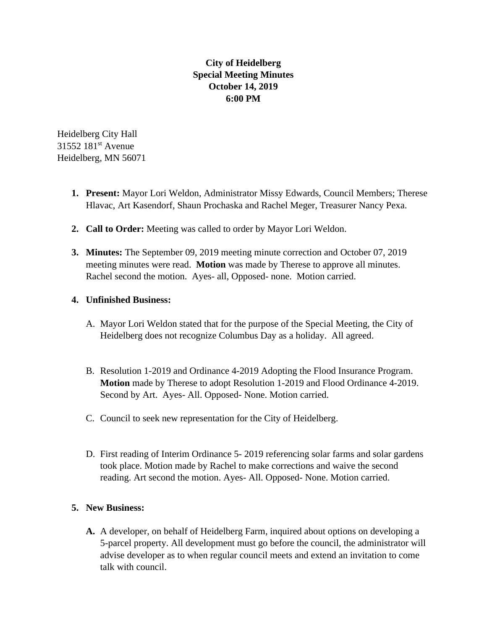## **City of Heidelberg Special Meeting Minutes October 14, 2019 6:00 PM**

Heidelberg City Hall 31552 181st Avenue Heidelberg, MN 56071

- **1. Present:** Mayor Lori Weldon, Administrator Missy Edwards, Council Members; Therese Hlavac, Art Kasendorf, Shaun Prochaska and Rachel Meger, Treasurer Nancy Pexa.
- **2. Call to Order:** Meeting was called to order by Mayor Lori Weldon.
- **3. Minutes:** The September 09, 2019 meeting minute correction and October 07, 2019 meeting minutes were read. **Motion** was made by Therese to approve all minutes. Rachel second the motion. Ayes- all, Opposed- none. Motion carried.

## **4. Unfinished Business:**

- A. Mayor Lori Weldon stated that for the purpose of the Special Meeting, the City of Heidelberg does not recognize Columbus Day as a holiday. All agreed.
- B. Resolution 1-2019 and Ordinance 4-2019 Adopting the Flood Insurance Program. **Motion** made by Therese to adopt Resolution 1-2019 and Flood Ordinance 4-2019. Second by Art. Ayes- All. Opposed- None. Motion carried.
- C. Council to seek new representation for the City of Heidelberg.
- D. First reading of Interim Ordinance 5- 2019 referencing solar farms and solar gardens took place. Motion made by Rachel to make corrections and waive the second reading. Art second the motion. Ayes- All. Opposed- None. Motion carried.

## **5. New Business:**

**A.** A developer, on behalf of Heidelberg Farm, inquired about options on developing a 5-parcel property. All development must go before the council, the administrator will advise developer as to when regular council meets and extend an invitation to come talk with council.